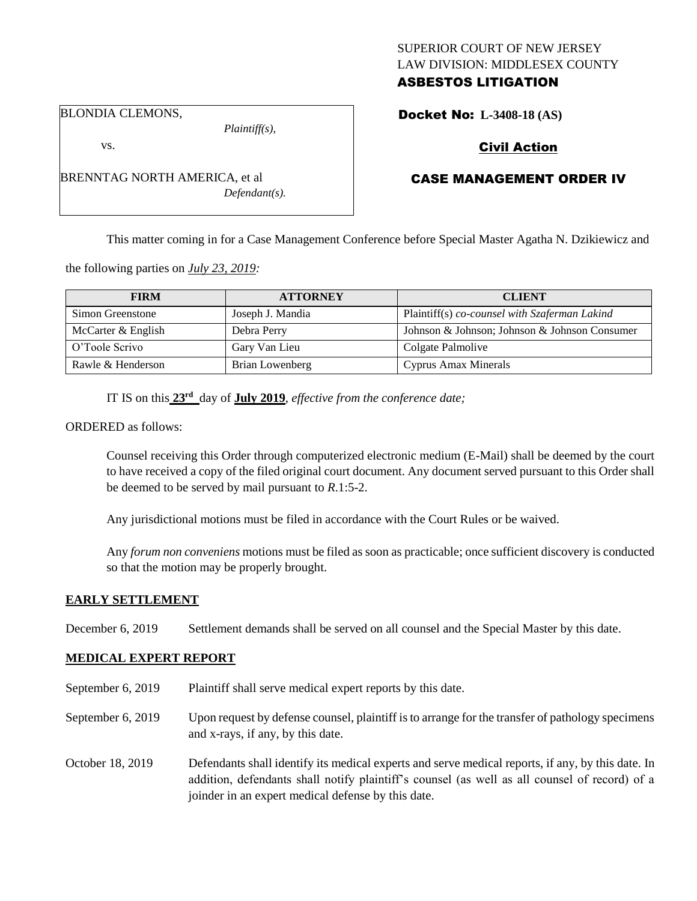# SUPERIOR COURT OF NEW JERSEY LAW DIVISION: MIDDLESEX COUNTY ASBESTOS LITIGATION

BLONDIA CLEMONS,

*Plaintiff(s),*

*Defendant(s).*

Civil Action

# CASE MANAGEMENT ORDER IV

This matter coming in for a Case Management Conference before Special Master Agatha N. Dzikiewicz and

the following parties on *July 23, 2019:*

BRENNTAG NORTH AMERICA, et al

| <b>FIRM</b>        | <b>ATTORNEY</b>  | <b>CLIENT</b>                                 |
|--------------------|------------------|-----------------------------------------------|
| Simon Greenstone   | Joseph J. Mandia | Plaintiff(s) co-counsel with Szaferman Lakind |
| McCarter & English | Debra Perry      | Johnson & Johnson; Johnson & Johnson Consumer |
| O'Toole Scrivo     | Gary Van Lieu    | Colgate Palmolive                             |
| Rawle & Henderson  | Brian Lowenberg  | <b>Cyprus Amax Minerals</b>                   |

IT IS on this **23rd** day of **July 2019**, *effective from the conference date;*

ORDERED as follows:

Counsel receiving this Order through computerized electronic medium (E-Mail) shall be deemed by the court to have received a copy of the filed original court document. Any document served pursuant to this Order shall be deemed to be served by mail pursuant to *R*.1:5-2.

Any jurisdictional motions must be filed in accordance with the Court Rules or be waived.

Any *forum non conveniens* motions must be filed as soon as practicable; once sufficient discovery is conducted so that the motion may be properly brought.

#### **EARLY SETTLEMENT**

December 6, 2019 Settlement demands shall be served on all counsel and the Special Master by this date.

#### **MEDICAL EXPERT REPORT**

- September 6, 2019 Plaintiff shall serve medical expert reports by this date.
- September 6, 2019 Upon request by defense counsel, plaintiff is to arrange for the transfer of pathology specimens and x-rays, if any, by this date.
- October 18, 2019 Defendants shall identify its medical experts and serve medical reports, if any, by this date. In addition, defendants shall notify plaintiff's counsel (as well as all counsel of record) of a joinder in an expert medical defense by this date.

Docket No: **L-3408-18 (AS)** 

vs.